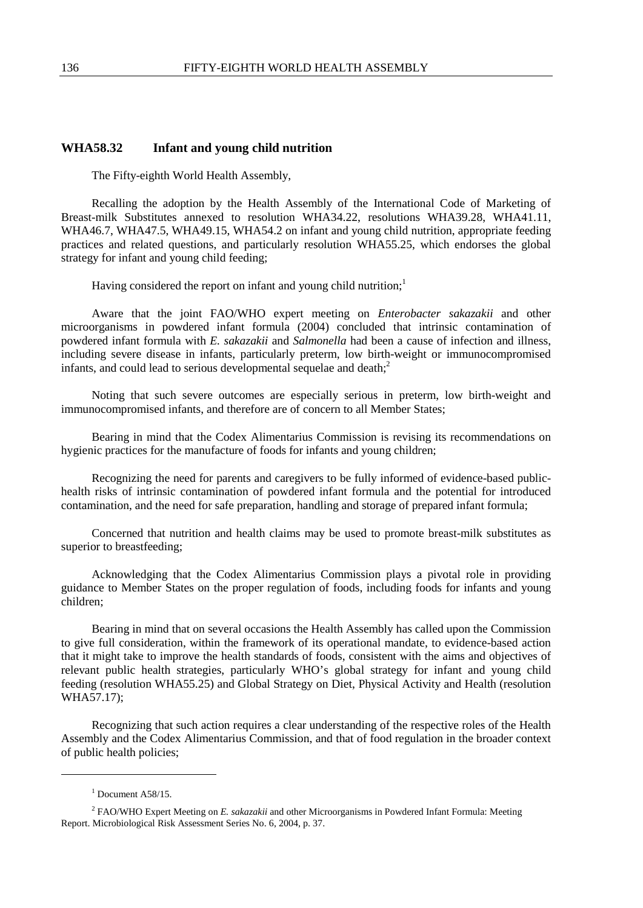## **WHA58.32 Infant and young child nutrition**

The Fifty-eighth World Health Assembly,

Recalling the adoption by the Health Assembly of the International Code of Marketing of Breast-milk Substitutes annexed to resolution WHA34.22, resolutions WHA39.28, WHA41.11, WHA46.7, WHA47.5, WHA49.15, WHA54.2 on infant and young child nutrition, appropriate feeding practices and related questions, and particularly resolution WHA55.25, which endorses the global strategy for infant and young child feeding;

Having considered the report on infant and young child nutrition; $<sup>1</sup>$ </sup>

Aware that the joint FAO/WHO expert meeting on *Enterobacter sakazakii* and other microorganisms in powdered infant formula (2004) concluded that intrinsic contamination of powdered infant formula with *E. sakazakii* and *Salmonella* had been a cause of infection and illness, including severe disease in infants, particularly preterm, low birth-weight or immunocompromised infants, and could lead to serious developmental sequelae and death; $<sup>2</sup>$ </sup>

Noting that such severe outcomes are especially serious in preterm, low birth-weight and immunocompromised infants, and therefore are of concern to all Member States;

Bearing in mind that the Codex Alimentarius Commission is revising its recommendations on hygienic practices for the manufacture of foods for infants and young children;

Recognizing the need for parents and caregivers to be fully informed of evidence-based publichealth risks of intrinsic contamination of powdered infant formula and the potential for introduced contamination, and the need for safe preparation, handling and storage of prepared infant formula;

Concerned that nutrition and health claims may be used to promote breast-milk substitutes as superior to breastfeeding;

Acknowledging that the Codex Alimentarius Commission plays a pivotal role in providing guidance to Member States on the proper regulation of foods, including foods for infants and young children;

Bearing in mind that on several occasions the Health Assembly has called upon the Commission to give full consideration, within the framework of its operational mandate, to evidence-based action that it might take to improve the health standards of foods, consistent with the aims and objectives of relevant public health strategies, particularly WHO's global strategy for infant and young child feeding (resolution WHA55.25) and Global Strategy on Diet, Physical Activity and Health (resolution WHA57.17);

Recognizing that such action requires a clear understanding of the respective roles of the Health Assembly and the Codex Alimentarius Commission, and that of food regulation in the broader context of public health policies;

-

 $<sup>1</sup>$  Document A58/15.</sup>

<sup>2</sup> FAO/WHO Expert Meeting on *E. sakazakii* and other Microorganisms in Powdered Infant Formula: Meeting Report. Microbiological Risk Assessment Series No. 6, 2004, p. 37.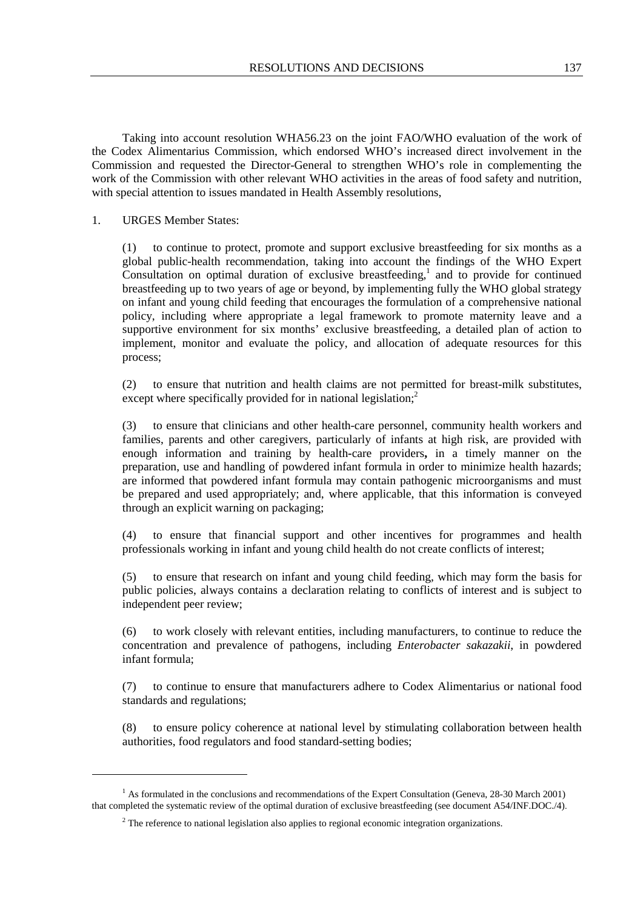Taking into account resolution WHA56.23 on the joint FAO/WHO evaluation of the work of the Codex Alimentarius Commission, which endorsed WHO's increased direct involvement in the Commission and requested the Director-General to strengthen WHO's role in complementing the work of the Commission with other relevant WHO activities in the areas of food safety and nutrition, with special attention to issues mandated in Health Assembly resolutions,

## 1. URGES Member States:

 $\ddot{\phantom{a}}$ 

(1) to continue to protect, promote and support exclusive breastfeeding for six months as a global public-health recommendation, taking into account the findings of the WHO Expert Consultation on optimal duration of exclusive breastfeeding,<sup>1</sup> and to provide for continued breastfeeding up to two years of age or beyond, by implementing fully the WHO global strategy on infant and young child feeding that encourages the formulation of a comprehensive national policy, including where appropriate a legal framework to promote maternity leave and a supportive environment for six months' exclusive breastfeeding, a detailed plan of action to implement, monitor and evaluate the policy, and allocation of adequate resources for this process;

(2) to ensure that nutrition and health claims are not permitted for breast-milk substitutes, except where specifically provided for in national legislation:<sup>2</sup>

(3) to ensure that clinicians and other health-care personnel, community health workers and families, parents and other caregivers, particularly of infants at high risk, are provided with enough information and training by health**-**care providers**,** in a timely manner on the preparation, use and handling of powdered infant formula in order to minimize health hazards; are informed that powdered infant formula may contain pathogenic microorganisms and must be prepared and used appropriately; and, where applicable, that this information is conveyed through an explicit warning on packaging;

(4) to ensure that financial support and other incentives for programmes and health professionals working in infant and young child health do not create conflicts of interest;

(5) to ensure that research on infant and young child feeding, which may form the basis for public policies, always contains a declaration relating to conflicts of interest and is subject to independent peer review;

(6) to work closely with relevant entities, including manufacturers, to continue to reduce the concentration and prevalence of pathogens, including *Enterobacter sakazakii*, in powdered infant formula;

(7) to continue to ensure that manufacturers adhere to Codex Alimentarius or national food standards and regulations;

(8) to ensure policy coherence at national level by stimulating collaboration between health authorities, food regulators and food standard-setting bodies;

<sup>&</sup>lt;sup>1</sup> As formulated in the conclusions and recommendations of the Expert Consultation (Geneva, 28-30 March 2001) that completed the systematic review of the optimal duration of exclusive breastfeeding (see document A54/INF.DOC./4).

 $2<sup>2</sup>$  The reference to national legislation also applies to regional economic integration organizations.